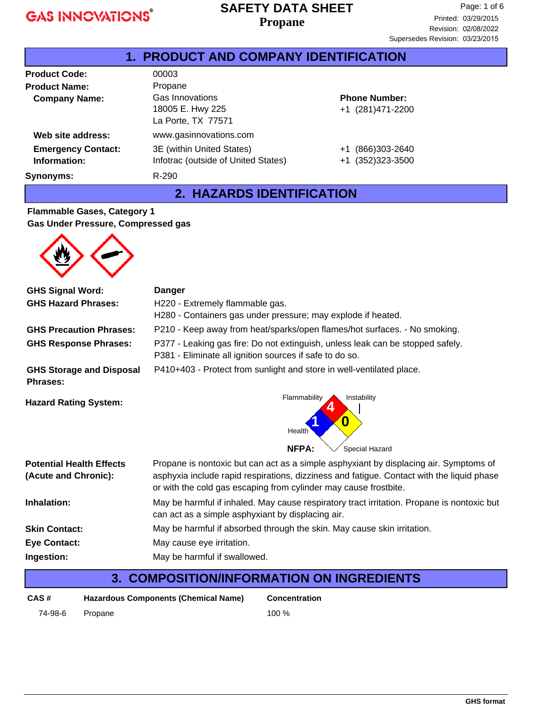#### **Propane SAFETY DATA SHEET**

| 1. PRODUCT AND COMPANY IDENTIFICATION |                                     |                       |  |
|---------------------------------------|-------------------------------------|-----------------------|--|
| <b>Product Code:</b>                  | 00003                               |                       |  |
| <b>Product Name:</b>                  | Propane                             |                       |  |
| <b>Company Name:</b>                  | Gas Innovations                     | <b>Phone Number:</b>  |  |
|                                       | 18005 E. Hwy 225                    | +1 (281)471-2200      |  |
|                                       | La Porte, TX 77571                  |                       |  |
| Web site address:                     | www.gasinnovations.com              |                       |  |
| <b>Emergency Contact:</b>             | 3E (within United States)           | (866)303-2640<br>$+1$ |  |
| Information:                          | Infotrac (outside of United States) | +1 (352)323-3500      |  |
| Synonyms:                             | R-290                               |                       |  |

#### **2. HAZARDS IDENTIFICATION**

#### **Flammable Gases, Category 1 Gas Under Pressure, Compressed gas**

| <b>GHS Signal Word:</b>                                 | <b>Danger</b>                                                                                                                                                                                                                                          |  |  |
|---------------------------------------------------------|--------------------------------------------------------------------------------------------------------------------------------------------------------------------------------------------------------------------------------------------------------|--|--|
| <b>GHS Hazard Phrases:</b>                              | H220 - Extremely flammable gas.<br>H280 - Containers gas under pressure; may explode if heated.                                                                                                                                                        |  |  |
| <b>GHS Precaution Phrases:</b>                          | P210 - Keep away from heat/sparks/open flames/hot surfaces. - No smoking.                                                                                                                                                                              |  |  |
| <b>GHS Response Phrases:</b>                            | P377 - Leaking gas fire: Do not extinguish, unless leak can be stopped safely.<br>P381 - Eliminate all ignition sources if safe to do so.                                                                                                              |  |  |
| <b>GHS Storage and Disposal</b><br><b>Phrases:</b>      | P410+403 - Protect from sunlight and store in well-ventilated place.                                                                                                                                                                                   |  |  |
| <b>Hazard Rating System:</b>                            | Flammability<br>Instability<br>0<br>Health<br><b>NFPA:</b><br>Special Hazard                                                                                                                                                                           |  |  |
| <b>Potential Health Effects</b><br>(Acute and Chronic): | Propane is nontoxic but can act as a simple asphyxiant by displacing air. Symptoms of<br>asphyxia include rapid respirations, dizziness and fatigue. Contact with the liquid phase<br>or with the cold gas escaping from cylinder may cause frostbite. |  |  |
| Inhalation:                                             | May be harmful if inhaled. May cause respiratory tract irritation. Propane is nontoxic but<br>can act as a simple asphyxiant by displacing air.                                                                                                        |  |  |
| <b>Skin Contact:</b>                                    | May be harmful if absorbed through the skin. May cause skin irritation.                                                                                                                                                                                |  |  |
| <b>Eye Contact:</b>                                     | May cause eye irritation.                                                                                                                                                                                                                              |  |  |
| Ingestion:                                              | May be harmful if swallowed.                                                                                                                                                                                                                           |  |  |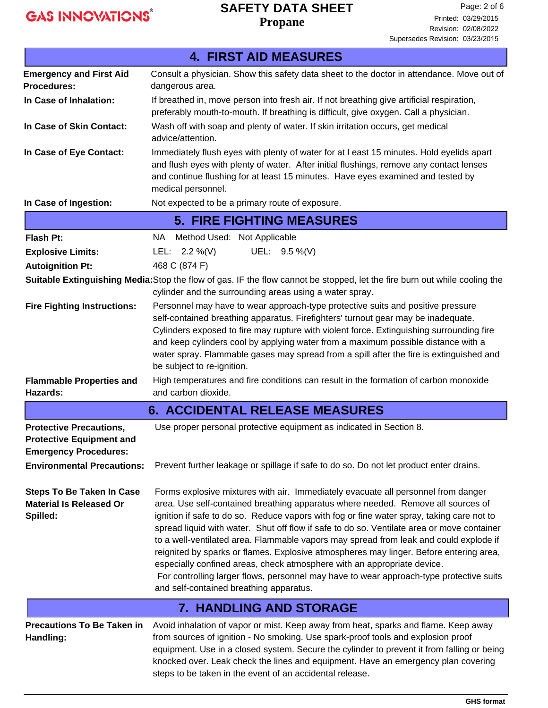Г

# **SAFETY DATA SHEET**

**Propane**

|                                                                                                                                        | <b>4. FIRST AID MEASURES</b>                                                                                                                                                                                                                                                                                                                                                                                                                                                                                                                                                                                                                                                                                                                                         |  |  |
|----------------------------------------------------------------------------------------------------------------------------------------|----------------------------------------------------------------------------------------------------------------------------------------------------------------------------------------------------------------------------------------------------------------------------------------------------------------------------------------------------------------------------------------------------------------------------------------------------------------------------------------------------------------------------------------------------------------------------------------------------------------------------------------------------------------------------------------------------------------------------------------------------------------------|--|--|
| <b>Emergency and First Aid</b>                                                                                                         | Consult a physician. Show this safety data sheet to the doctor in attendance. Move out of                                                                                                                                                                                                                                                                                                                                                                                                                                                                                                                                                                                                                                                                            |  |  |
| Procedures:                                                                                                                            | dangerous area.                                                                                                                                                                                                                                                                                                                                                                                                                                                                                                                                                                                                                                                                                                                                                      |  |  |
| In Case of Inhalation:                                                                                                                 | If breathed in, move person into fresh air. If not breathing give artificial respiration,<br>preferably mouth-to-mouth. If breathing is difficult, give oxygen. Call a physician.                                                                                                                                                                                                                                                                                                                                                                                                                                                                                                                                                                                    |  |  |
| In Case of Skin Contact:                                                                                                               | Wash off with soap and plenty of water. If skin irritation occurs, get medical<br>advice/attention.                                                                                                                                                                                                                                                                                                                                                                                                                                                                                                                                                                                                                                                                  |  |  |
| In Case of Eye Contact:                                                                                                                | Immediately flush eyes with plenty of water for at I east 15 minutes. Hold eyelids apart<br>and flush eyes with plenty of water. After initial flushings, remove any contact lenses<br>and continue flushing for at least 15 minutes. Have eyes examined and tested by<br>medical personnel.                                                                                                                                                                                                                                                                                                                                                                                                                                                                         |  |  |
| In Case of Ingestion:                                                                                                                  | Not expected to be a primary route of exposure.                                                                                                                                                                                                                                                                                                                                                                                                                                                                                                                                                                                                                                                                                                                      |  |  |
|                                                                                                                                        | <b>5. FIRE FIGHTING MEASURES</b>                                                                                                                                                                                                                                                                                                                                                                                                                                                                                                                                                                                                                                                                                                                                     |  |  |
| <b>Flash Pt:</b>                                                                                                                       | NA Method Used: Not Applicable                                                                                                                                                                                                                                                                                                                                                                                                                                                                                                                                                                                                                                                                                                                                       |  |  |
| <b>Explosive Limits:</b>                                                                                                               | UEL: 9.5 %(V)<br>LEL: $2.2\%$ (V)                                                                                                                                                                                                                                                                                                                                                                                                                                                                                                                                                                                                                                                                                                                                    |  |  |
| <b>Autoignition Pt:</b>                                                                                                                | 468 C (874 F)                                                                                                                                                                                                                                                                                                                                                                                                                                                                                                                                                                                                                                                                                                                                                        |  |  |
|                                                                                                                                        | Suitable Extinguishing Media: Stop the flow of gas. IF the flow cannot be stopped, let the fire burn out while cooling the<br>cylinder and the surrounding areas using a water spray.                                                                                                                                                                                                                                                                                                                                                                                                                                                                                                                                                                                |  |  |
| <b>Fire Fighting Instructions:</b>                                                                                                     | Personnel may have to wear approach-type protective suits and positive pressure<br>self-contained breathing apparatus. Firefighters' turnout gear may be inadequate.<br>Cylinders exposed to fire may rupture with violent force. Extinguishing surrounding fire<br>and keep cylinders cool by applying water from a maximum possible distance with a<br>water spray. Flammable gases may spread from a spill after the fire is extinguished and<br>be subject to re-ignition.                                                                                                                                                                                                                                                                                       |  |  |
| <b>Flammable Properties and</b><br>Hazards:                                                                                            | High temperatures and fire conditions can result in the formation of carbon monoxide<br>and carbon dioxide.                                                                                                                                                                                                                                                                                                                                                                                                                                                                                                                                                                                                                                                          |  |  |
|                                                                                                                                        | <b>6. ACCIDENTAL RELEASE MEASURES</b>                                                                                                                                                                                                                                                                                                                                                                                                                                                                                                                                                                                                                                                                                                                                |  |  |
| <b>Protective Precautions,</b><br><b>Protective Equipment and</b><br><b>Emergency Procedures:</b><br><b>Environmental Precautions:</b> | Use proper personal protective equipment as indicated in Section 8.<br>Prevent further leakage or spillage if safe to do so. Do not let product enter drains.                                                                                                                                                                                                                                                                                                                                                                                                                                                                                                                                                                                                        |  |  |
|                                                                                                                                        |                                                                                                                                                                                                                                                                                                                                                                                                                                                                                                                                                                                                                                                                                                                                                                      |  |  |
| <b>Steps To Be Taken In Case</b><br><b>Material Is Released Or</b><br>Spilled:                                                         | Forms explosive mixtures with air. Immediately evacuate all personnel from danger<br>area. Use self-contained breathing apparatus where needed. Remove all sources of<br>ignition if safe to do so. Reduce vapors with fog or fine water spray, taking care not to<br>spread liquid with water. Shut off flow if safe to do so. Ventilate area or move container<br>to a well-ventilated area. Flammable vapors may spread from leak and could explode if<br>reignited by sparks or flames. Explosive atmospheres may linger. Before entering area,<br>especially confined areas, check atmosphere with an appropriate device.<br>For controlling larger flows, personnel may have to wear approach-type protective suits<br>and self-contained breathing apparatus. |  |  |
|                                                                                                                                        | <b>7. HANDLING AND STORAGE</b>                                                                                                                                                                                                                                                                                                                                                                                                                                                                                                                                                                                                                                                                                                                                       |  |  |
| <b>Precautions To Be Taken in</b><br>Handling:                                                                                         | Avoid inhalation of vapor or mist. Keep away from heat, sparks and flame. Keep away<br>from sources of ignition - No smoking. Use spark-proof tools and explosion proof<br>equipment. Use in a closed system. Secure the cylinder to prevent it from falling or being<br>knocked over. Leak check the lines and equipment. Have an emergency plan covering<br>steps to be taken in the event of an accidental release.                                                                                                                                                                                                                                                                                                                                               |  |  |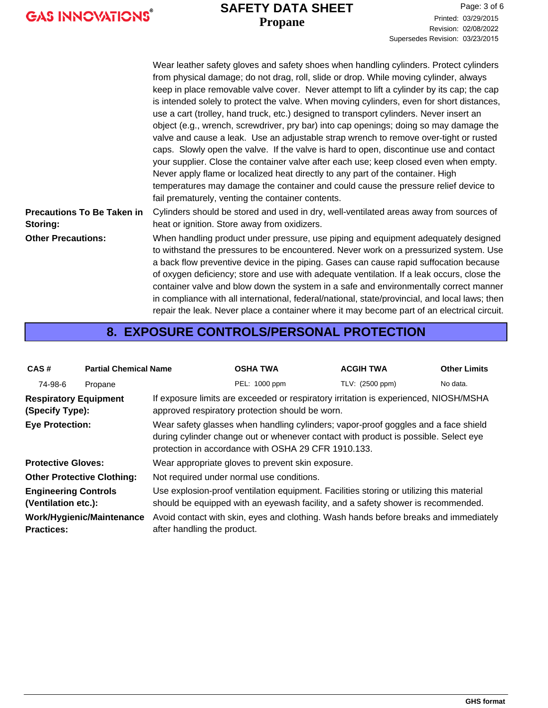#### **Propane SAFETY DATA SHEET**

|                                               | Wear leather safety gloves and safety shoes when handling cylinders. Protect cylinders<br>from physical damage; do not drag, roll, slide or drop. While moving cylinder, always<br>keep in place removable valve cover. Never attempt to lift a cylinder by its cap; the cap<br>is intended solely to protect the valve. When moving cylinders, even for short distances,<br>use a cart (trolley, hand truck, etc.) designed to transport cylinders. Never insert an<br>object (e.g., wrench, screwdriver, pry bar) into cap openings; doing so may damage the<br>valve and cause a leak. Use an adjustable strap wrench to remove over-tight or rusted<br>caps. Slowly open the valve. If the valve is hard to open, discontinue use and contact<br>your supplier. Close the container valve after each use; keep closed even when empty.<br>Never apply flame or localized heat directly to any part of the container. High<br>temperatures may damage the container and could cause the pressure relief device to |
|-----------------------------------------------|----------------------------------------------------------------------------------------------------------------------------------------------------------------------------------------------------------------------------------------------------------------------------------------------------------------------------------------------------------------------------------------------------------------------------------------------------------------------------------------------------------------------------------------------------------------------------------------------------------------------------------------------------------------------------------------------------------------------------------------------------------------------------------------------------------------------------------------------------------------------------------------------------------------------------------------------------------------------------------------------------------------------|
|                                               | fail prematurely, venting the container contents.                                                                                                                                                                                                                                                                                                                                                                                                                                                                                                                                                                                                                                                                                                                                                                                                                                                                                                                                                                    |
| <b>Precautions To Be Taken in</b><br>Storing: | Cylinders should be stored and used in dry, well-ventilated areas away from sources of<br>heat or ignition. Store away from oxidizers.                                                                                                                                                                                                                                                                                                                                                                                                                                                                                                                                                                                                                                                                                                                                                                                                                                                                               |
| <b>Other Precautions:</b>                     | When handling product under pressure, use piping and equipment adequately designed<br>to withstand the pressures to be encountered. Never work on a pressurized system. Use<br>a back flow preventive device in the piping. Gases can cause rapid suffocation because<br>of oxygen deficiency; store and use with adequate ventilation. If a leak occurs, close the<br>container valve and blow down the system in a safe and environmentally correct manner<br>in compliance with all international, federal/national, state/provincial, and local laws; then                                                                                                                                                                                                                                                                                                                                                                                                                                                       |

#### **8. EXPOSURE CONTROLS/PERSONAL PROTECTION**

repair the leak. Never place a container where it may become part of an electrical circuit.

| CAS#                                               | <b>Partial Chemical Name</b> |                                                                                                                                                                                                                                  | <b>OSHA TWA</b>                                                                      | <b>ACGIH TWA</b> | <b>Other Limits</b> |
|----------------------------------------------------|------------------------------|----------------------------------------------------------------------------------------------------------------------------------------------------------------------------------------------------------------------------------|--------------------------------------------------------------------------------------|------------------|---------------------|
| 74-98-6                                            | Propane                      |                                                                                                                                                                                                                                  | PEL: 1000 ppm                                                                        | TLV: (2500 ppm)  | No data.            |
| <b>Respiratory Equipment</b><br>(Specify Type):    |                              | If exposure limits are exceeded or respiratory irritation is experienced, NIOSH/MSHA<br>approved respiratory protection should be worn.                                                                                          |                                                                                      |                  |                     |
| <b>Eye Protection:</b>                             |                              | Wear safety glasses when handling cylinders; vapor-proof goggles and a face shield<br>during cylinder change out or whenever contact with product is possible. Select eye<br>protection in accordance with OSHA 29 CFR 1910.133. |                                                                                      |                  |                     |
| <b>Protective Gloves:</b>                          |                              |                                                                                                                                                                                                                                  | Wear appropriate gloves to prevent skin exposure.                                    |                  |                     |
| <b>Other Protective Clothing:</b>                  |                              |                                                                                                                                                                                                                                  | Not required under normal use conditions.                                            |                  |                     |
| <b>Engineering Controls</b><br>(Ventilation etc.): |                              | Use explosion-proof ventilation equipment. Facilities storing or utilizing this material<br>should be equipped with an eyewash facility, and a safety shower is recommended.                                                     |                                                                                      |                  |                     |
| <b>Practices:</b>                                  | Work/Hygienic/Maintenance    | after handling the product.                                                                                                                                                                                                      | Avoid contact with skin, eyes and clothing. Wash hands before breaks and immediately |                  |                     |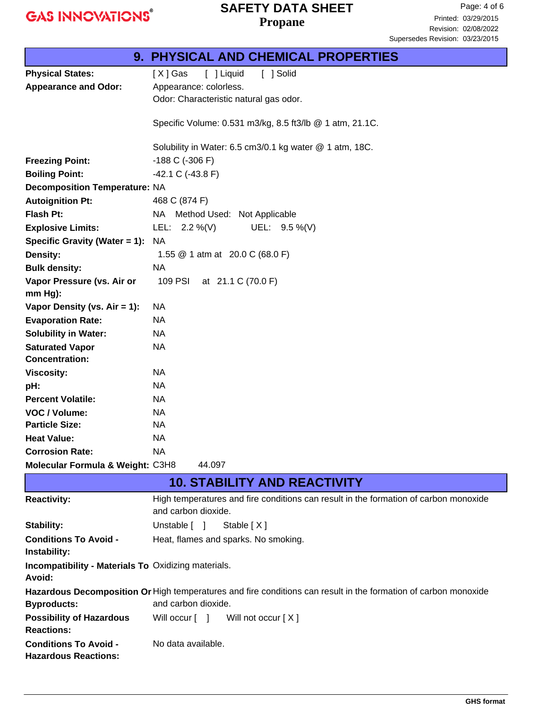### **Propane SAFETY DATA SHEET**

| <b>9. PHYSICAL AND CHEMICAL PROPERTIES</b>                           |                                                                                                                 |  |  |
|----------------------------------------------------------------------|-----------------------------------------------------------------------------------------------------------------|--|--|
| <b>Physical States:</b>                                              | [ ] Liquid<br>[ ] Solid<br>[X] Gas                                                                              |  |  |
| <b>Appearance and Odor:</b>                                          | Appearance: colorless.                                                                                          |  |  |
|                                                                      | Odor: Characteristic natural gas odor.                                                                          |  |  |
|                                                                      |                                                                                                                 |  |  |
|                                                                      | Specific Volume: 0.531 m3/kg, 8.5 ft3/lb @ 1 atm, 21.1C.                                                        |  |  |
|                                                                      | Solubility in Water: 6.5 cm3/0.1 kg water @ 1 atm, 18C.                                                         |  |  |
| <b>Freezing Point:</b>                                               | $-188$ C ( $-306$ F)                                                                                            |  |  |
| <b>Boiling Point:</b>                                                | $-42.1 \text{ C}$ ( $-43.8 \text{ F}$ )                                                                         |  |  |
| <b>Decomposition Temperature: NA</b>                                 |                                                                                                                 |  |  |
| <b>Autoignition Pt:</b>                                              | 468 C (874 F)                                                                                                   |  |  |
| Flash Pt:                                                            | NA Method Used: Not Applicable                                                                                  |  |  |
| <b>Explosive Limits:</b>                                             | UEL: 9.5 %(V)<br>LEL: $2.2\%$ (V)                                                                               |  |  |
| Specific Gravity (Water $= 1$ ):                                     | <b>NA</b>                                                                                                       |  |  |
| <b>Density:</b>                                                      | 1.55 @ 1 atm at 20.0 C (68.0 F)                                                                                 |  |  |
| <b>Bulk density:</b>                                                 | <b>NA</b>                                                                                                       |  |  |
| Vapor Pressure (vs. Air or                                           | 109 PSI<br>at 21.1 C (70.0 F)                                                                                   |  |  |
| $mm Hg$ ):                                                           |                                                                                                                 |  |  |
| Vapor Density (vs. $Air = 1$ ):                                      | NA                                                                                                              |  |  |
| <b>Evaporation Rate:</b>                                             | <b>NA</b>                                                                                                       |  |  |
| <b>Solubility in Water:</b>                                          | NA                                                                                                              |  |  |
| <b>Saturated Vapor</b>                                               | <b>NA</b>                                                                                                       |  |  |
| <b>Concentration:</b>                                                |                                                                                                                 |  |  |
| <b>Viscosity:</b>                                                    | NA                                                                                                              |  |  |
| pH:                                                                  | <b>NA</b>                                                                                                       |  |  |
| <b>Percent Volatile:</b>                                             | NA                                                                                                              |  |  |
| VOC / Volume:                                                        | <b>NA</b>                                                                                                       |  |  |
| <b>Particle Size:</b>                                                | <b>NA</b>                                                                                                       |  |  |
| <b>Heat Value:</b>                                                   | <b>NA</b>                                                                                                       |  |  |
| <b>Corrosion Rate:</b>                                               | <b>NA</b>                                                                                                       |  |  |
| Molecular Formula & Weight: C3H8                                     | 44.097                                                                                                          |  |  |
|                                                                      | <b>10. STABILITY AND REACTIVITY</b>                                                                             |  |  |
| <b>Reactivity:</b>                                                   | High temperatures and fire conditions can result in the formation of carbon monoxide                            |  |  |
|                                                                      | and carbon dioxide.                                                                                             |  |  |
| <b>Stability:</b>                                                    | Unstable [ ]<br>Stable [X]                                                                                      |  |  |
| <b>Conditions To Avoid -</b>                                         | Heat, flames and sparks. No smoking.                                                                            |  |  |
| Instability:                                                         |                                                                                                                 |  |  |
| <b>Incompatibility - Materials To Oxidizing materials.</b><br>Avoid: |                                                                                                                 |  |  |
|                                                                      | Hazardous Decomposition Or High temperatures and fire conditions can result in the formation of carbon monoxide |  |  |
| <b>Byproducts:</b>                                                   | and carbon dioxide.                                                                                             |  |  |
| <b>Possibility of Hazardous</b>                                      | Will not occur [X]<br>Will occur [ ]                                                                            |  |  |
| <b>Reactions:</b>                                                    |                                                                                                                 |  |  |
| <b>Conditions To Avoid -</b>                                         | No data available.                                                                                              |  |  |
| <b>Hazardous Reactions:</b>                                          |                                                                                                                 |  |  |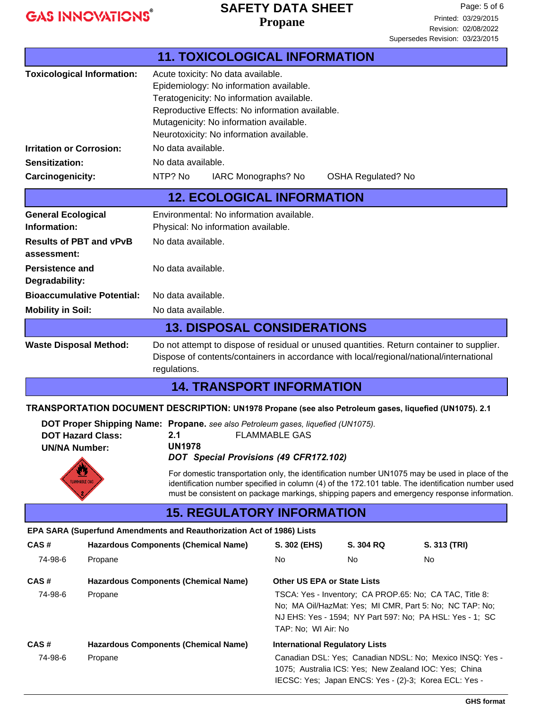#### **Propane SAFETY DATA SHEET**

Page: 5 of 6 Printed: 03/29/2015 Revision: 02/08/2022

**11. TOXICOLOGICAL INFORMATION** Acute toxicity: No data available. Epidemiology: No information available. Teratogenicity: No information available. Reproductive Effects: No information available. Mutagenicity: No information available. Neurotoxicity: No information available. **Toxicological Information: Irritation or Corrosion:** No data available. **Sensitization:** No data available. Carcinogenicity: NTP? No IARC Monographs? No OSHA Regulated? No Environmental: No information available. Physical: No information available. **General Ecological Information: 12. ECOLOGICAL INFORMATION Persistence and** No data available. **Degradability: Bioaccumulative Potential:** No data available. **Mobility in Soil:** No data available. **Results of PBT and vPvB** No data available. **assessment:** Do not attempt to dispose of residual or unused quantities. Return container to supplier. Dispose of contents/containers in accordance with local/regional/national/international regulations. **Waste Disposal Method: 13. DISPOSAL CONSIDERATIONS 14. TRANSPORT INFORMATION DOT Proper Shipping Name: Propane.** *see also Petroleum gases, liquefied (UN1075).*  **DOT Hazard Class: UN/NA Number: TRANSPORTATION DOCUMENT DESCRIPTION: UN1978 Propane (see also Petroleum gases, liquefied (UN1075). 2.1 CAS # Hazardous Components (Chemical Name) 15. REGULATORY INFORMATION S. 302 (EHS) S. 304 RQ S. 313 (TRI) EPA SARA (Superfund Amendments and Reauthorization Act of 1986) Lists** 74-98-6 Propane No No No **CAS # Hazardous Components (Chemical Name) Other US EPA or State Lists** 74-98-6 Propane TSCA: Yes - Inventory; CA PROP.65: No; CA TAC, Title 8: No; MA Oil/HazMat: Yes; MI CMR, Part 5: No; NC TAP: No; NJ EHS: Yes - 1594; NY Part 597: No; PA HSL: Yes - 1; SC **2.1** FLAMMABLE GAS **UN1978**  *DOT Special Provisions (49 CFR172.102)* For domestic transportation only, the identification number UN1075 may be used in place of the identification number specified in column (4) of the 172.101 table. The identification number used must be consistent on package markings, shipping papers and emergency response information. Supersedes Revision: 03/23/2015

TAP: No; WI Air: No **CAS # Hazardous Components (Chemical Name) International Regulatory Lists** 74-98-6 Propane Canadian DSL: Yes; Canadian NDSL: No; Mexico INSQ: Yes - 1075; Australia ICS: Yes; New Zealand IOC: Yes; China

IECSC: Yes; Japan ENCS: Yes - (2)-3; Korea ECL: Yes -